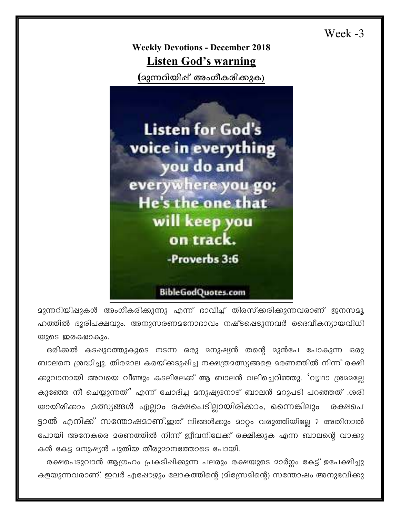Week -3

**Weekly Devotions - December 2018 Listen God's warning** 

(മുന്നറിയിഷ് അംഗീകരിക്കുക)



<mark>മുന്നറിയി</mark>ഷുകൾ അംഗീകരിക്കുന്നു എന്ന് ഭാവിച്ച് തിരസ്കരിക്കുന്നവരാണ് ജനസമൂ ഹത്തിൽ ഭൂരിപക്ഷവും. അനുസരണമനോഭാവം നഷ്ടപ്പെടുന്നവർ ദൈവീകന്യായവിധി യുടെ ഇരകളാകും.

ഒരിക്കൽ കടഷുറത്തുകൂടെ നടന്ന ഒരു മനുഷ്യൻ തന്റെ മുൻപേ പോകുന്ന ഒരു ബാലനെ ശ്രദ്ധിച്ചു. തിരമാല കരയ്ക്കടുപ്പിച്ച നക്ഷത്രമത്സ്യങ്ങളെ മരണത്തിൽ നിന്ന് രക്ഷി ക്കുവാനായി അവയെ വീണ്ടും കടലിലേക്ക് ആ ബാലൻ വലിച്ചെറിഞ്ഞു. 'വൃഥാ ശ്രമമല്ലേ കുഞ്ഞേ നീ ചെയ്യുന്നത്' എന്ന് ചോദിച്ച മനുഷ്യനോട് ബാലൻ മറുപടി പറഞ്ഞത് .ശരി യായിരിക്കാം ,മത്സ്യങ്ങൾ എല്ലാം രക്ഷപെടില്ലായിരിക്കാം, ഒന്നെങ്കിലും രക്ഷപെ ട്ടാൽ എനിക്ക് സന്തോഷമാണ്.ഇത് നിങ്ങൾകും മാറ്റം വരുത്തിയില്ലേ ? അതിനാൽ പോയി അനേകരെ മരണത്തിൽ നിന്ന് ജീവനിലേക്ക് രക്ഷിക്കുക എന്ന ബാലന്റെ വാക്കു കൾ കേട്ട 2നുഷ്യൻ പുതിയ തീരുമാനത്തോടെ പോയി.

രക്ഷപെടുവാൻ ആഗ്രഹം പ്രകടിഷിക്കുന്ന പലരും രക്ഷയുടെ മാർഗ്ഗം കേട്ട് ഉപേക്ഷിച്ചു കളയുന്നവരാണ്. ഇവർ എഷോഴും ലോകത്തിന്റെ (മിസ്രേമിന്റെ) സന്തോഷം അനുഭവിക്കു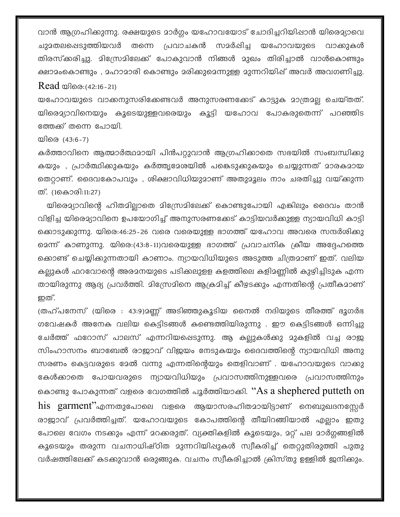വാൻ ആഗ്രഹിക്കുന്നു. രക്ഷയുടെ മാർഗ്ഗം യഹോവയോട് ചോദിച്ചറിയിഷാൻ യിരെമ്യാവെ തന്നെ പ്രവാചകൻ സമർഷിച്ച യഹോവയുടെ ചുദതലപ്പെടുത്തിയവർ വാക്കുകൾ തിരസ്ക്കരിച്ചു. മിസ്രേമിലേക്ക് പോകുവാൻ നിങ്ങൾ മുഖം തിരിച്ചാൽ വാൾകൊണ്ടും ക്ഷാമംകൊണ്ടും , മഹാമാരി കൊണ്ടും മരിക്കുമെന്നുള്ള മുന്നറിയിഷ് അവർ അവഗണിച്ചു. Read യിരെ:(42:16-21)

യഹോവയുടെ വാക്കനുസരിക്കേണ്ടവർ അനുസരണക്കേട് കാട്ടുക മാത്രമല്ല ചെയ്തത്. യിരെമ്യാവിനെയും കൂടെയുള്ളവരെയും കൂട്ടി യഹോവ പോകരുതെന്ന് പറഞ്ഞിട ത്തേക്ക് തന്നെ പോയി.

യിരെ (43:6-7)

കർത്താവിനെ ആത്മാർത്ഥമായി പിൻപറ്റുവാൻ ആഗ്രഹിക്കാതെ സഭയിൽ സംബന്ധിക്കു കയും , പ്രാർത്ഥിക്കുകയും കർത്തൃദേശയിൽ പങ്കെടുക്കുകയും ചെയ്യുന്നത് മാരകമായ തെറ്റാണ്. ദൈവകോപവും , ശിക്ഷാവിധിയുമാണ് അതുമൂലം നാം ചരതിച്ചു വയ്ക്കുന്ന ത്. (1കൊരി:11:27)

യിരെമ്യാവിന്റെ ഹിതമില്ലാതെ മിസ്രേമിലേക്ക് കൊണ്ടുപോയി എങ്കിലും ദൈവം താൻ വിളിച്ച യിരെമ്യാവിനെ ഉപയോഗിച്ച് അനുസരണക്കേട് കാട്ടിയവർക്കുള്ള ന്യായവിധി കാട്ടി ക്കൊടുക്കുന്നു. യിരെ:46:25-26 വരെ വരെയുള്ള ഭാഗത്ത് യഹോവ അവരെ സന്ദർശിക്കു മെന്ന് കാണുന്നു. യിരെ:(43:8-11)വരെയുള്ള ഭാഗത്ത് പ്രവാചനിക ക്രീയ അദ്ദേഹത്തെ ക്കൊണ്ട് ചെയ്യിക്കുന്നതായി കാണാം. ന്യായവിധിയുടെ അടുത്ത ചിത്രമാണ് ഇത്. വലിയ കല്ലുകൾ ഫറവോന്റെ അരമനയുടെ പടിക്കലുളള കളത്തിലെ കളിമണ്ണിൽ കുഴിച്ചിടുക എന്ന തായിരുന്നു ആദ്യ പ്രവർത്തി. മിസ്രേമിനെ ആക്രമിച്ച് കീഴടക്കും എന്നതിന്റെ പ്രതീകമാണ് ഇത്.

(തഹ്പനേസ് (യിരെ : 43:9)മണ്ണ് അടിഞ്ഞുകൂടിയ നൈൽ നദിയുടെ തീരത്ത് ഭൂഗർഭ ഗവേഷകർ അനേക വലിയ കെട്ടിടങ്ങൾ കണ്ടെത്തിയിരുന്നു . ഈ കെട്ടിടങ്ങൾ ഒന്നിച്ചു ഭചർത്ത് ഫറോസ് പാലസ് എന്നറിയപ്പെടുന്നു. ആ കല്ലുകൾക്കു മുകളിൽ വച്ച രാജ സിംഹാസനം ബാബേൽ രാജാവ് വിജയം നേടുകയും ദൈവത്തിന്റെ ന്യായവിധി അനു സരണം കെട്ടവരുടെ മേൽ വന്നു എന്നതിന്റെയും തെളിവാണ് . യഹോവയുടെ വാക്കു ഭകൾക്കാതെ പോയവരുടെ ന്യായവിധിയും പ്രവാസത്തിനുള്ളവരെ പ്രവാസത്തിനും കൊണ്ടു പോകുന്നത് വളരെ വേഗത്തിൽ പൂർത്തിയാക്കി.  $\lq\lq A s$  a shephered putteth on his garment"എന്നതുപോലെ വളരെ ആയാസരഹിതമായിട്ടാണ് നെബുഖദനസ്സേർ രാജാവ് പ്രവർത്തിച്ചത്. യഹോവയുടെ കോപത്തിന്റെ തീയിറങ്ങിയാൽ എല്ലാം ഇതു പോലെ വേഗം നടക്കും എന്ന് മറക്കരുത്. വ്യക്തികളിൽ കൂടെയും, മറ്റ് പല മാർഗ്ഗങ്ങളിൽ കൂടെയും തരുന്ന വചനാധിഷ്ഠിത മുന്നറിയിഷുകൾ സ്വീകരിച്ച് തെറ്റുതിരുത്തി പുതു വർഷത്തിലേക്ക് കടക്കുവാൻ ഒരുങ്ങുക. വചനം സ്വീകരിച്ചാൽ ക്രിസ്തു ഉള്ളിൽ ജനിക്കും.